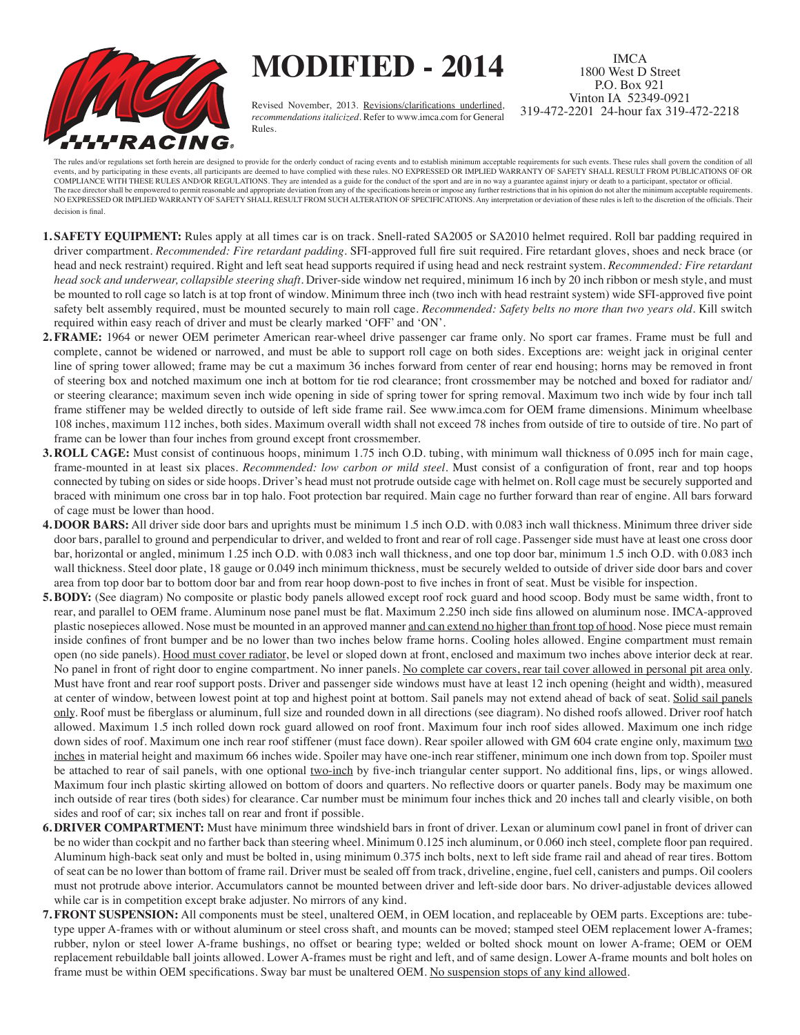

 **MODIFIED - 2014**

Revised November, 2013. Revisions/clarifications underlined, *recommendations italicized*. Refer to www.imca.com for General Rules.

IMCA 1800 West D Street P.O. Box 921 Vinton IA 52349-0921 319-472-2201 24-hour fax 319-472-2218

The rules and/or regulations set forth herein are designed to provide for the orderly conduct of racing events and to establish minimum acceptable requirements for such events. These rules shall govern the condition of all events, and by participating in these events, all participants are deemed to have complied with these rules. NO EXPRESSED OR IMPLIED WARRANTY OF SAFETY SHALL RESULT FROM PUBLICATIONS OF OR COMPLIANCE WITH THESE RULES AND/OR REGULATIONS. They are intended as a guide for the conduct of the sport and are in no way a guarantee against injury or death to a participant, spectator or official. The race director shall be empowered to permit reasonable and appropriate deviation from any of the specifications herein or impose any further restrictions that in his opinion do not alter the minimum acceptable requireme NO EXPRESSED OR IMPLIED WARRANTY OF SAFETY SHALL RESULT FROM SUCH ALTERATION OF SPECIFICATIONS. Any interpretation or deviation of these rules is left to the discretion of the officials. Their decision is final.

- **1. SAFETY EQUIPMENT:** Rules apply at all times car is on track. Snell-rated SA2005 or SA2010 helmet required. Roll bar padding required in driver compartment. *Recommended: Fire retardant padding*. SFI-approved full fire suit required. Fire retardant gloves, shoes and neck brace (or head and neck restraint) required. Right and left seat head supports required if using head and neck restraint system. *Recommended: Fire retardant head sock and underwear, collapsible steering shaft*. Driver-side window net required, minimum 16 inch by 20 inch ribbon or mesh style, and must be mounted to roll cage so latch is at top front of window. Minimum three inch (two inch with head restraint system) wide SFI-approved five point safety belt assembly required, must be mounted securely to main roll cage. *Recommended: Safety belts no more than two years old*. Kill switch required within easy reach of driver and must be clearly marked 'OFF' and 'ON'.
- **2. FRAME:** 1964 or newer OEM perimeter American rear-wheel drive passenger car frame only. No sport car frames. Frame must be full and complete, cannot be widened or narrowed, and must be able to support roll cage on both sides. Exceptions are: weight jack in original center line of spring tower allowed; frame may be cut a maximum 36 inches forward from center of rear end housing; horns may be removed in front of steering box and notched maximum one inch at bottom for tie rod clearance; front crossmember may be notched and boxed for radiator and/ or steering clearance; maximum seven inch wide opening in side of spring tower for spring removal. Maximum two inch wide by four inch tall frame stiffener may be welded directly to outside of left side frame rail. See www.imca.com for OEM frame dimensions. Minimum wheelbase 108 inches, maximum 112 inches, both sides. Maximum overall width shall not exceed 78 inches from outside of tire to outside of tire. No part of frame can be lower than four inches from ground except front crossmember.
- **3. ROLL CAGE:** Must consist of continuous hoops, minimum 1.75 inch O.D. tubing, with minimum wall thickness of 0.095 inch for main cage, frame-mounted in at least six places. *Recommended: low carbon or mild steel*. Must consist of a configuration of front, rear and top hoops connected by tubing on sides or side hoops. Driver's head must not protrude outside cage with helmet on. Roll cage must be securely supported and braced with minimum one cross bar in top halo. Foot protection bar required. Main cage no further forward than rear of engine. All bars forward of cage must be lower than hood.
- **4. DOOR BARS:** All driver side door bars and uprights must be minimum 1.5 inch O.D. with 0.083 inch wall thickness. Minimum three driver side door bars, parallel to ground and perpendicular to driver, and welded to front and rear of roll cage. Passenger side must have at least one cross door bar, horizontal or angled, minimum 1.25 inch O.D. with 0.083 inch wall thickness, and one top door bar, minimum 1.5 inch O.D. with 0.083 inch wall thickness. Steel door plate, 18 gauge or 0.049 inch minimum thickness, must be securely welded to outside of driver side door bars and cover area from top door bar to bottom door bar and from rear hoop down-post to five inches in front of seat. Must be visible for inspection.
- **5. BODY:** (See diagram) No composite or plastic body panels allowed except roof rock guard and hood scoop. Body must be same width, front to rear, and parallel to OEM frame. Aluminum nose panel must be flat. Maximum 2.250 inch side fins allowed on aluminum nose. IMCA-approved plastic nosepieces allowed. Nose must be mounted in an approved manner and can extend no higher than front top of hood. Nose piece must remain inside confines of front bumper and be no lower than two inches below frame horns. Cooling holes allowed. Engine compartment must remain open (no side panels). Hood must cover radiator, be level or sloped down at front, enclosed and maximum two inches above interior deck at rear. No panel in front of right door to engine compartment. No inner panels. No complete car covers, rear tail cover allowed in personal pit area only. Must have front and rear roof support posts. Driver and passenger side windows must have at least 12 inch opening (height and width), measured at center of window, between lowest point at top and highest point at bottom. Sail panels may not extend ahead of back of seat. Solid sail panels only. Roof must be fiberglass or aluminum, full size and rounded down in all directions (see diagram). No dished roofs allowed. Driver roof hatch allowed. Maximum 1.5 inch rolled down rock guard allowed on roof front. Maximum four inch roof sides allowed. Maximum one inch ridge down sides of roof. Maximum one inch rear roof stiffener (must face down). Rear spoiler allowed with GM 604 crate engine only, maximum two inches in material height and maximum 66 inches wide. Spoiler may have one-inch rear stiffener, minimum one inch down from top. Spoiler must be attached to rear of sail panels, with one optional two-inch by five-inch triangular center support. No additional fins, lips, or wings allowed. Maximum four inch plastic skirting allowed on bottom of doors and quarters. No reflective doors or quarter panels. Body may be maximum one inch outside of rear tires (both sides) for clearance. Car number must be minimum four inches thick and 20 inches tall and clearly visible, on both sides and roof of car; six inches tall on rear and front if possible.
- **6. DRIVER COMPARTMENT:** Must have minimum three windshield bars in front of driver. Lexan or aluminum cowl panel in front of driver can be no wider than cockpit and no farther back than steering wheel. Minimum 0.125 inch aluminum, or 0.060 inch steel, complete floor pan required. Aluminum high-back seat only and must be bolted in, using minimum 0.375 inch bolts, next to left side frame rail and ahead of rear tires. Bottom of seat can be no lower than bottom of frame rail. Driver must be sealed off from track, driveline, engine, fuel cell, canisters and pumps. Oil coolers must not protrude above interior. Accumulators cannot be mounted between driver and left-side door bars. No driver-adjustable devices allowed while car is in competition except brake adjuster. No mirrors of any kind.
- **7. FRONT SUSPENSION:** All components must be steel, unaltered OEM, in OEM location, and replaceable by OEM parts. Exceptions are: tubetype upper A-frames with or without aluminum or steel cross shaft, and mounts can be moved; stamped steel OEM replacement lower A-frames; rubber, nylon or steel lower A-frame bushings, no offset or bearing type; welded or bolted shock mount on lower A-frame; OEM or OEM replacement rebuildable ball joints allowed. Lower A-frames must be right and left, and of same design. Lower A-frame mounts and bolt holes on frame must be within OEM specifications. Sway bar must be unaltered OEM. No suspension stops of any kind allowed.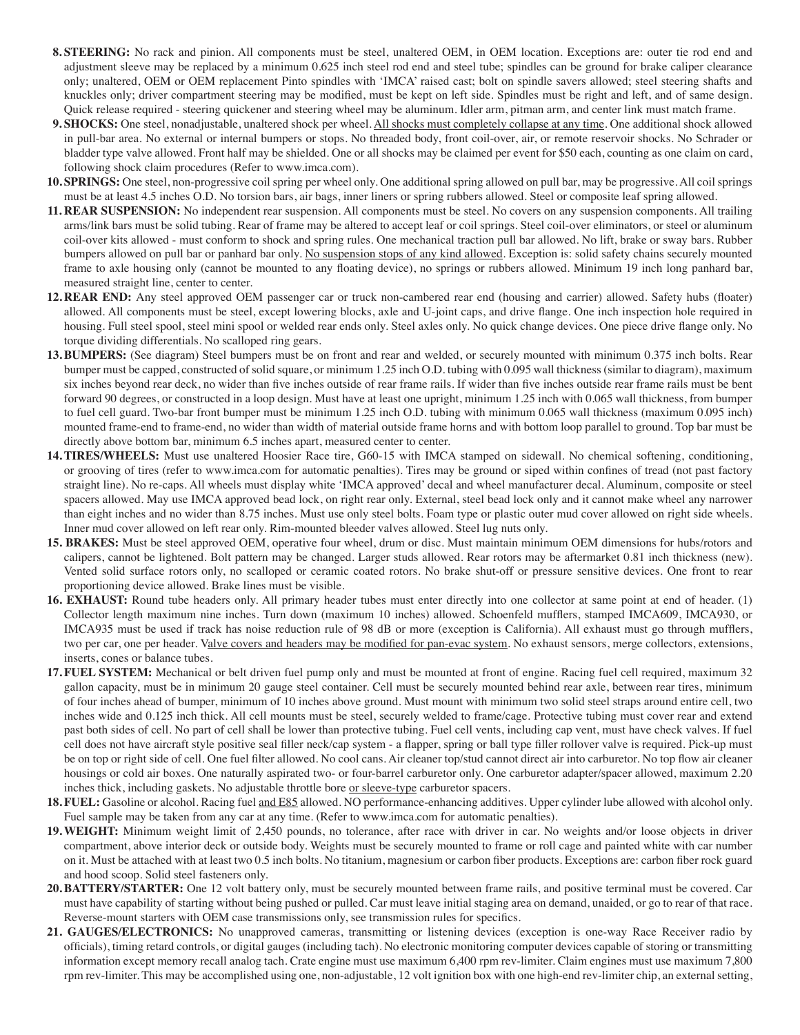- **8. STEERING:** No rack and pinion. All components must be steel, unaltered OEM, in OEM location. Exceptions are: outer tie rod end and adjustment sleeve may be replaced by a minimum 0.625 inch steel rod end and steel tube; spindles can be ground for brake caliper clearance only; unaltered, OEM or OEM replacement Pinto spindles with 'IMCA' raised cast; bolt on spindle savers allowed; steel steering shafts and knuckles only; driver compartment steering may be modified, must be kept on left side. Spindles must be right and left, and of same design. Quick release required - steering quickener and steering wheel may be aluminum. Idler arm, pitman arm, and center link must match frame.
- **9. SHOCKS:** One steel, nonadjustable, unaltered shock per wheel. All shocks must completely collapse at any time. One additional shock allowed in pull-bar area. No external or internal bumpers or stops. No threaded body, front coil-over, air, or remote reservoir shocks. No Schrader or bladder type valve allowed. Front half may be shielded. One or all shocks may be claimed per event for \$50 each, counting as one claim on card, following shock claim procedures (Refer to www.imca.com).
- **10. SPRINGS:** One steel, non-progressive coil spring per wheel only. One additional spring allowed on pull bar, may be progressive. All coil springs must be at least 4.5 inches O.D. No torsion bars, air bags, inner liners or spring rubbers allowed. Steel or composite leaf spring allowed.
- **11. REAR SUSPENSION:** No independent rear suspension. All components must be steel. No covers on any suspension components. All trailing arms/link bars must be solid tubing. Rear of frame may be altered to accept leaf or coil springs. Steel coil-over eliminators, or steel or aluminum coil-over kits allowed - must conform to shock and spring rules. One mechanical traction pull bar allowed. No lift, brake or sway bars. Rubber bumpers allowed on pull bar or panhard bar only. No suspension stops of any kind allowed. Exception is: solid safety chains securely mounted frame to axle housing only (cannot be mounted to any floating device), no springs or rubbers allowed. Minimum 19 inch long panhard bar, measured straight line, center to center.
- **12. REAR END:** Any steel approved OEM passenger car or truck non-cambered rear end (housing and carrier) allowed. Safety hubs (floater) allowed. All components must be steel, except lowering blocks, axle and U-joint caps, and drive flange. One inch inspection hole required in housing. Full steel spool, steel mini spool or welded rear ends only. Steel axles only. No quick change devices. One piece drive flange only. No torque dividing differentials. No scalloped ring gears.
- **13.BUMPERS:** (See diagram) Steel bumpers must be on front and rear and welded, or securely mounted with minimum 0.375 inch bolts. Rear bumper must be capped, constructed of solid square, or minimum 1.25 inch O.D. tubing with 0.095 wall thickness (similar to diagram), maximum six inches beyond rear deck, no wider than five inches outside of rear frame rails. If wider than five inches outside rear frame rails must be bent forward 90 degrees, or constructed in a loop design. Must have at least one upright, minimum 1.25 inch with 0.065 wall thickness, from bumper to fuel cell guard. Two-bar front bumper must be minimum 1.25 inch O.D. tubing with minimum 0.065 wall thickness (maximum 0.095 inch) mounted frame-end to frame-end, no wider than width of material outside frame horns and with bottom loop parallel to ground. Top bar must be directly above bottom bar, minimum 6.5 inches apart, measured center to center.
- **14.TIRES/WHEELS:** Must use unaltered Hoosier Race tire, G60-15 with IMCA stamped on sidewall. No chemical softening, conditioning, or grooving of tires (refer to www.imca.com for automatic penalties). Tires may be ground or siped within confines of tread (not past factory straight line). No re-caps. All wheels must display white 'IMCA approved' decal and wheel manufacturer decal. Aluminum, composite or steel spacers allowed. May use IMCA approved bead lock, on right rear only. External, steel bead lock only and it cannot make wheel any narrower than eight inches and no wider than 8.75 inches. Must use only steel bolts. Foam type or plastic outer mud cover allowed on right side wheels. Inner mud cover allowed on left rear only. Rim-mounted bleeder valves allowed. Steel lug nuts only.
- **15. BRAKES:** Must be steel approved OEM, operative four wheel, drum or disc. Must maintain minimum OEM dimensions for hubs/rotors and calipers, cannot be lightened. Bolt pattern may be changed. Larger studs allowed. Rear rotors may be aftermarket 0.81 inch thickness (new). Vented solid surface rotors only, no scalloped or ceramic coated rotors. No brake shut-off or pressure sensitive devices. One front to rear proportioning device allowed. Brake lines must be visible.
- **16. EXHAUST:** Round tube headers only. All primary header tubes must enter directly into one collector at same point at end of header. (1) Collector length maximum nine inches. Turn down (maximum 10 inches) allowed. Schoenfeld mufflers, stamped IMCA609, IMCA930, or IMCA935 must be used if track has noise reduction rule of 98 dB or more (exception is California). All exhaust must go through mufflers, two per car, one per header. Valve covers and headers may be modified for pan-evac system. No exhaust sensors, merge collectors, extensions, inserts, cones or balance tubes.
- **17. FUEL SYSTEM:** Mechanical or belt driven fuel pump only and must be mounted at front of engine. Racing fuel cell required, maximum 32 gallon capacity, must be in minimum 20 gauge steel container. Cell must be securely mounted behind rear axle, between rear tires, minimum of four inches ahead of bumper, minimum of 10 inches above ground. Must mount with minimum two solid steel straps around entire cell, two inches wide and 0.125 inch thick. All cell mounts must be steel, securely welded to frame/cage. Protective tubing must cover rear and extend past both sides of cell. No part of cell shall be lower than protective tubing. Fuel cell vents, including cap vent, must have check valves. If fuel cell does not have aircraft style positive seal filler neck/cap system - a flapper, spring or ball type filler rollover valve is required. Pick-up must be on top or right side of cell. One fuel filter allowed. No cool cans. Air cleaner top/stud cannot direct air into carburetor. No top flow air cleaner housings or cold air boxes. One naturally aspirated two- or four-barrel carburetor only. One carburetor adapter/spacer allowed, maximum 2.20 inches thick, including gaskets. No adjustable throttle bore or sleeve-type carburetor spacers.
- **18. FUEL:** Gasoline or alcohol. Racing fuel and E85 allowed. NO performance-enhancing additives. Upper cylinder lube allowed with alcohol only. Fuel sample may be taken from any car at any time. (Refer to www.imca.com for automatic penalties).
- **19.WEIGHT:** Minimum weight limit of 2,450 pounds, no tolerance, after race with driver in car. No weights and/or loose objects in driver compartment, above interior deck or outside body. Weights must be securely mounted to frame or roll cage and painted white with car number on it. Must be attached with at least two 0.5 inch bolts. No titanium, magnesium or carbon fiber products. Exceptions are: carbon fiber rock guard and hood scoop. Solid steel fasteners only.
- **20.BATTERY/STARTER:** One 12 volt battery only, must be securely mounted between frame rails, and positive terminal must be covered. Car must have capability of starting without being pushed or pulled. Car must leave initial staging area on demand, unaided, or go to rear of that race. Reverse-mount starters with OEM case transmissions only, see transmission rules for specifics.
- **21. GAUGES/ELECTRONICS:** No unapproved cameras, transmitting or listening devices (exception is one-way Race Receiver radio by officials), timing retard controls, or digital gauges (including tach). No electronic monitoring computer devices capable of storing or transmitting information except memory recall analog tach. Crate engine must use maximum 6,400 rpm rev-limiter. Claim engines must use maximum 7,800 rpm rev-limiter. This may be accomplished using one, non-adjustable, 12 volt ignition box with one high-end rev-limiter chip, an external setting,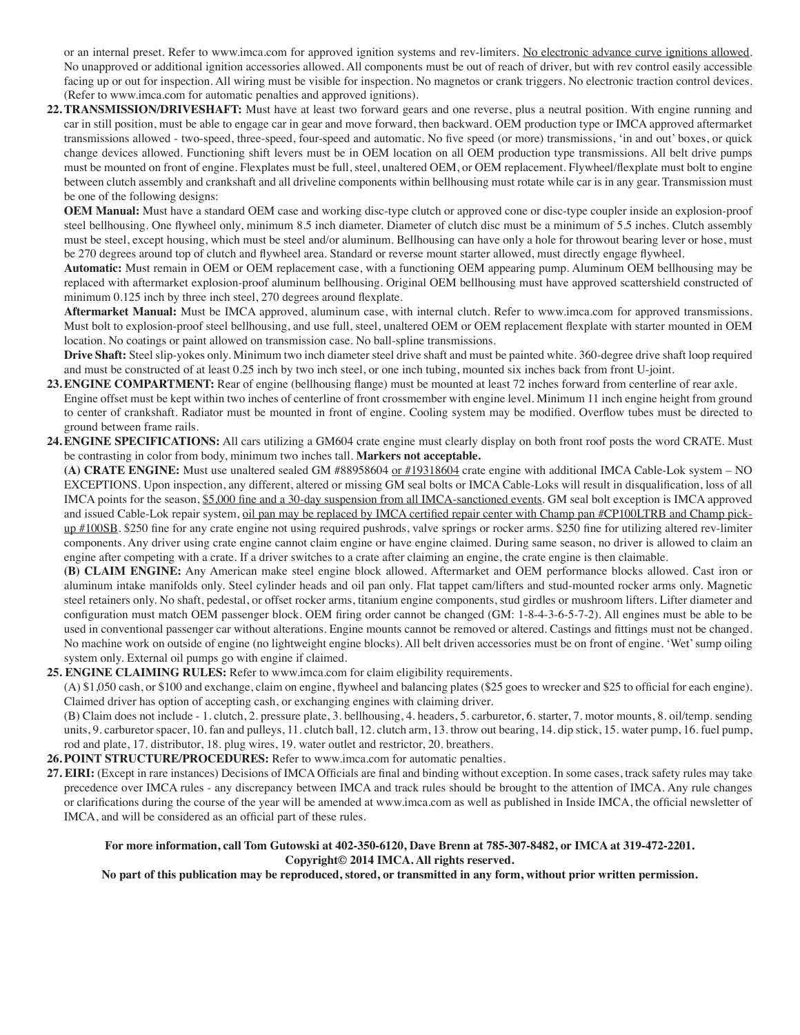or an internal preset. Refer to www.imca.com for approved ignition systems and rev-limiters. No electronic advance curve ignitions allowed. No unapproved or additional ignition accessories allowed. All components must be out of reach of driver, but with rev control easily accessible facing up or out for inspection. All wiring must be visible for inspection. No magnetos or crank triggers. No electronic traction control devices. (Refer to www.imca.com for automatic penalties and approved ignitions).

**22.TRANSMISSION/DRIVESHAFT:** Must have at least two forward gears and one reverse, plus a neutral position. With engine running and car in still position, must be able to engage car in gear and move forward, then backward. OEM production type or IMCA approved aftermarket transmissions allowed - two-speed, three-speed, four-speed and automatic. No five speed (or more) transmissions, 'in and out' boxes, or quick change devices allowed. Functioning shift levers must be in OEM location on all OEM production type transmissions. All belt drive pumps must be mounted on front of engine. Flexplates must be full, steel, unaltered OEM, or OEM replacement. Flywheel/flexplate must bolt to engine between clutch assembly and crankshaft and all driveline components within bellhousing must rotate while car is in any gear. Transmission must be one of the following designs:

 **OEM Manual:** Must have a standard OEM case and working disc-type clutch or approved cone or disc-type coupler inside an explosion-proof steel bellhousing. One flywheel only, minimum 8.5 inch diameter. Diameter of clutch disc must be a minimum of 5.5 inches. Clutch assembly must be steel, except housing, which must be steel and/or aluminum. Bellhousing can have only a hole for throwout bearing lever or hose, must be 270 degrees around top of clutch and flywheel area. Standard or reverse mount starter allowed, must directly engage flywheel.

 **Automatic:** Must remain in OEM or OEM replacement case, with a functioning OEM appearing pump. Aluminum OEM bellhousing may be replaced with aftermarket explosion-proof aluminum bellhousing. Original OEM bellhousing must have approved scattershield constructed of minimum 0.125 inch by three inch steel, 270 degrees around flexplate.

 **Aftermarket Manual:** Must be IMCA approved, aluminum case, with internal clutch. Refer to www.imca.com for approved transmissions. Must bolt to explosion-proof steel bellhousing, and use full, steel, unaltered OEM or OEM replacement flexplate with starter mounted in OEM location. No coatings or paint allowed on transmission case. No ball-spline transmissions.

 **Drive Shaft:** Steel slip-yokes only. Minimum two inch diameter steel drive shaft and must be painted white. 360-degree drive shaft loop required and must be constructed of at least 0.25 inch by two inch steel, or one inch tubing, mounted six inches back from front U-joint.

- 23. ENGINE COMPARTMENT: Rear of engine (bellhousing flange) must be mounted at least 72 inches forward from centerline of rear axle. Engine offset must be kept within two inches of centerline of front crossmember with engine level. Minimum 11 inch engine height from ground to center of crankshaft. Radiator must be mounted in front of engine. Cooling system may be modified. Overflow tubes must be directed to ground between frame rails.
- **24.ENGINE SPECIFICATIONS:** All cars utilizing a GM604 crate engine must clearly display on both front roof posts the word CRATE. Must be contrasting in color from body, minimum two inches tall. **Markers not acceptable.**

 **(A) CRATE ENGINE:** Must use unaltered sealed GM #88958604 or #19318604 crate engine with additional IMCA Cable-Lok system – NO EXCEPTIONS. Upon inspection, any different, altered or missing GM seal bolts or IMCA Cable-Loks will result in disqualification, loss of all IMCA points for the season, \$5,000 fine and a 30-day suspension from all IMCA-sanctioned events. GM seal bolt exception is IMCA approved and issued Cable-Lok repair system, oil pan may be replaced by IMCA certified repair center with Champ pan #CP100LTRB and Champ pickup #100SB. \$250 fine for any crate engine not using required pushrods, valve springs or rocker arms. \$250 fine for utilizing altered rev-limiter components. Any driver using crate engine cannot claim engine or have engine claimed. During same season, no driver is allowed to claim an engine after competing with a crate. If a driver switches to a crate after claiming an engine, the crate engine is then claimable.

 **(B) CLAIM ENGINE:** Any American make steel engine block allowed. Aftermarket and OEM performance blocks allowed. Cast iron or aluminum intake manifolds only. Steel cylinder heads and oil pan only. Flat tappet cam/lifters and stud-mounted rocker arms only. Magnetic steel retainers only. No shaft, pedestal, or offset rocker arms, titanium engine components, stud girdles or mushroom lifters. Lifter diameter and configuration must match OEM passenger block. OEM firing order cannot be changed (GM: 1-8-4-3-6-5-7-2). All engines must be able to be used in conventional passenger car without alterations. Engine mounts cannot be removed or altered. Castings and fittings must not be changed. No machine work on outside of engine (no lightweight engine blocks). All belt driven accessories must be on front of engine. 'Wet' sump oiling system only. External oil pumps go with engine if claimed.

## **25. ENGINE CLAIMING RULES:** Refer to www.imca.com for claim eligibility requirements.

(A) \$1,050 cash, or \$100 and exchange, claim on engine, flywheel and balancing plates (\$25 goes to wrecker and \$25 to official for each engine). Claimed driver has option of accepting cash, or exchanging engines with claiming driver.

(B) Claim does not include - 1. clutch, 2. pressure plate, 3. bellhousing, 4. headers, 5. carburetor, 6. starter, 7. motor mounts, 8. oil/temp. sending units, 9. carburetor spacer, 10. fan and pulleys, 11. clutch ball, 12. clutch arm, 13. throw out bearing, 14. dip stick, 15. water pump, 16. fuel pump, rod and plate, 17. distributor, 18. plug wires, 19. water outlet and restrictor, 20. breathers.

**26. POINT STRUCTURE/PROCEDURES:** Refer to www.imca.com for automatic penalties.

**27. EIRI:** (Except in rare instances) Decisions of IMCA Officials are final and binding without exception. In some cases, track safety rules may take precedence over IMCA rules - any discrepancy between IMCA and track rules should be brought to the attention of IMCA. Any rule changes or clarifications during the course of the year will be amended at www.imca.com as well as published in Inside IMCA, the official newsletter of IMCA, and will be considered as an official part of these rules.

## **For more information, call Tom Gutowski at 402-350-6120, Dave Brenn at 785-307-8482, or IMCA at 319-472-2201. Copyright© 2014 IMCA. All rights reserved.**

**No part of this publication may be reproduced, stored, or transmitted in any form, without prior written permission.**